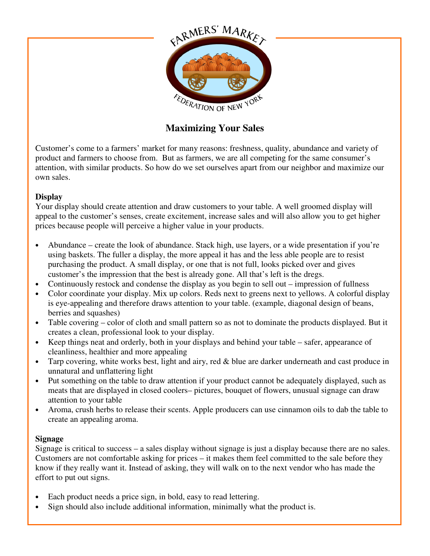

# **Maximizing Your Sales**

Customer's come to a farmers' market for many reasons: freshness, quality, abundance and variety of product and farmers to choose from. But as farmers, we are all competing for the same consumer's attention, with similar products. So how do we set ourselves apart from our neighbor and maximize our own sales.

#### **Display**

Your display should create attention and draw customers to your table. A well groomed display will appeal to the customer's senses, create excitement, increase sales and will also allow you to get higher prices because people will perceive a higher value in your products.

- Abundance create the look of abundance. Stack high, use layers, or a wide presentation if you're using baskets. The fuller a display, the more appeal it has and the less able people are to resist purchasing the product. A small display, or one that is not full, looks picked over and gives customer's the impression that the best is already gone. All that's left is the dregs.
- Continuously restock and condense the display as you begin to sell out impression of fullness
- Color coordinate your display. Mix up colors. Reds next to greens next to yellows. A colorful display is eye-appealing and therefore draws attention to your table. (example, diagonal design of beans, berries and squashes)
- Table covering color of cloth and small pattern so as not to dominate the products displayed. But it creates a clean, professional look to your display.
- Keep things neat and orderly, both in your displays and behind your table safer, appearance of cleanliness, healthier and more appealing
- Tarp covering, white works best, light and airy, red & blue are darker underneath and cast produce in unnatural and unflattering light
- Put something on the table to draw attention if your product cannot be adequately displayed, such as meats that are displayed in closed coolers– pictures, bouquet of flowers, unusual signage can draw attention to your table
- Aroma, crush herbs to release their scents. Apple producers can use cinnamon oils to dab the table to create an appealing aroma.

#### **Signage**

Signage is critical to success – a sales display without signage is just a display because there are no sales. Customers are not comfortable asking for prices – it makes them feel committed to the sale before they know if they really want it. Instead of asking, they will walk on to the next vendor who has made the effort to put out signs.

- Each product needs a price sign, in bold, easy to read lettering.
- Sign should also include additional information, minimally what the product is.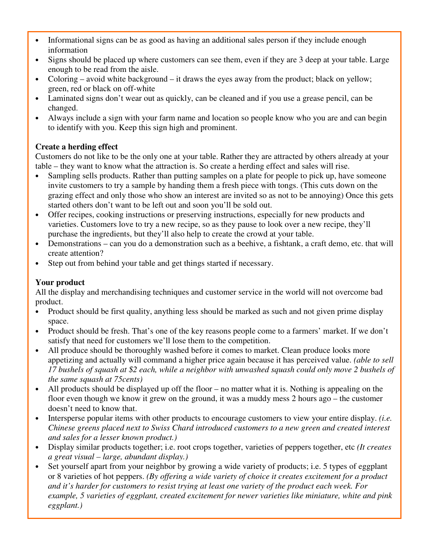- Informational signs can be as good as having an additional sales person if they include enough information
- Signs should be placed up where customers can see them, even if they are 3 deep at your table. Large enough to be read from the aisle.
- Coloring avoid white background it draws the eyes away from the product; black on yellow; green, red or black on off-white
- Laminated signs don't wear out as quickly, can be cleaned and if you use a grease pencil, can be changed.
- Always include a sign with your farm name and location so people know who you are and can begin to identify with you. Keep this sign high and prominent.

## **Create a herding effect**

Customers do not like to be the only one at your table. Rather they are attracted by others already at your table – they want to know what the attraction is. So create a herding effect and sales will rise.

- Sampling sells products. Rather than putting samples on a plate for people to pick up, have someone invite customers to try a sample by handing them a fresh piece with tongs. (This cuts down on the grazing effect and only those who show an interest are invited so as not to be annoying) Once this gets started others don't want to be left out and soon you'll be sold out.
- Offer recipes, cooking instructions or preserving instructions, especially for new products and varieties. Customers love to try a new recipe, so as they pause to look over a new recipe, they'll purchase the ingredients, but they'll also help to create the crowd at your table.
- Demonstrations can you do a demonstration such as a beehive, a fishtank, a craft demo, etc. that will create attention?
- Step out from behind your table and get things started if necessary.

### **Your product**

All the display and merchandising techniques and customer service in the world will not overcome bad product.

- Product should be first quality, anything less should be marked as such and not given prime display space.
- Product should be fresh. That's one of the key reasons people come to a farmers' market. If we don't satisfy that need for customers we'll lose them to the competition.
- All produce should be thoroughly washed before it comes to market. Clean produce looks more appetizing and actually will command a higher price again because it has perceived value. *(able to sell 17 bushels of squash at \$2 each, while a neighbor with unwashed squash could only move 2 bushels of the same squash at 75cents)*
- All products should be displayed up off the floor no matter what it is. Nothing is appealing on the floor even though we know it grew on the ground, it was a muddy mess 2 hours ago – the customer doesn't need to know that.
- Intersperse popular items with other products to encourage customers to view your entire display. *(i.e. Chinese greens placed next to Swiss Chard introduced customers to a new green and created interest and sales for a lesser known product.)*
- Display similar products together; i.e. root crops together, varieties of peppers together, etc *(It creates a great visual – large, abundant display.)*
- Set yourself apart from your neighbor by growing a wide variety of products; i.e. 5 types of eggplant or 8 varieties of hot peppers. *(By offering a wide variety of choice it creates excitement for a product and it's harder for customers to resist trying at least one variety of the product each week. For example, 5 varieties of eggplant, created excitement for newer varieties like miniature, white and pink eggplant.)*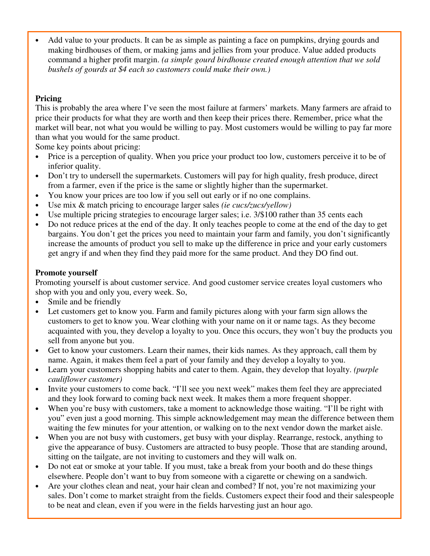Add value to your products. It can be as simple as painting a face on pumpkins, drying gourds and making birdhouses of them, or making jams and jellies from your produce. Value added products command a higher profit margin. *(a simple gourd birdhouse created enough attention that we sold bushels of gourds at \$4 each so customers could make their own.)*

# **Pricing**

This is probably the area where I've seen the most failure at farmers' markets. Many farmers are afraid to price their products for what they are worth and then keep their prices there. Remember, price what the market will bear, not what you would be willing to pay. Most customers would be willing to pay far more than what you would for the same product.

Some key points about pricing:

- Price is a perception of quality. When you price your product too low, customers perceive it to be of inferior quality.
- Don't try to undersell the supermarkets. Customers will pay for high quality, fresh produce, direct from a farmer, even if the price is the same or slightly higher than the supermarket.
- You know your prices are too low if you sell out early or if no one complains.
- Use mix & match pricing to encourage larger sales *(ie cucs/zucs/yellow)*
- Use multiple pricing strategies to encourage larger sales; i.e.  $3/\$100$  rather than 35 cents each
- Do not reduce prices at the end of the day. It only teaches people to come at the end of the day to get bargains. You don't get the prices you need to maintain your farm and family, you don't significantly increase the amounts of product you sell to make up the difference in price and your early customers get angry if and when they find they paid more for the same product. And they DO find out.

#### **Promote yourself**

Promoting yourself is about customer service. And good customer service creates loyal customers who shop with you and only you, every week. So,

- Smile and be friendly
- Let customers get to know you. Farm and family pictures along with your farm sign allows the customers to get to know you. Wear clothing with your name on it or name tags. As they become acquainted with you, they develop a loyalty to you. Once this occurs, they won't buy the products you sell from anyone but you.
- Get to know your customers. Learn their names, their kids names. As they approach, call them by name. Again, it makes them feel a part of your family and they develop a loyalty to you.
- Learn your customers shopping habits and cater to them. Again, they develop that loyalty. *(purple cauliflower customer)*
- Invite your customers to come back. "I'll see you next week" makes them feel they are appreciated and they look forward to coming back next week. It makes them a more frequent shopper.
- When you're busy with customers, take a moment to acknowledge those waiting. "I'll be right with you" even just a good morning. This simple acknowledgement may mean the difference between them waiting the few minutes for your attention, or walking on to the next vendor down the market aisle.
- When you are not busy with customers, get busy with your display. Rearrange, restock, anything to give the appearance of busy. Customers are attracted to busy people. Those that are standing around, sitting on the tailgate, are not inviting to customers and they will walk on.
- Do not eat or smoke at your table. If you must, take a break from your booth and do these things elsewhere. People don't want to buy from someone with a cigarette or chewing on a sandwich.
- Are your clothes clean and neat, your hair clean and combed? If not, you're not maximizing your sales. Don't come to market straight from the fields. Customers expect their food and their salespeople to be neat and clean, even if you were in the fields harvesting just an hour ago.